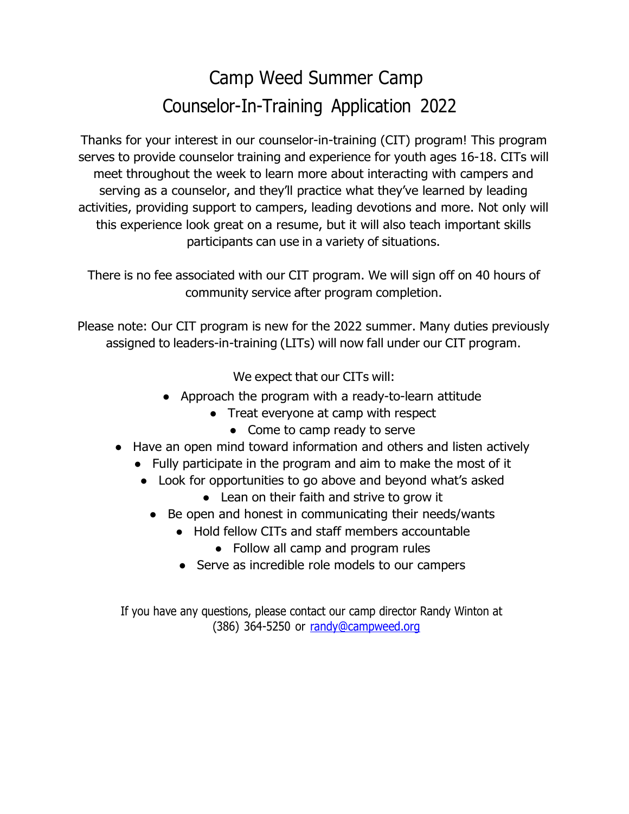## Camp Weed Summer Camp Counselor-In-Training Application 2022

Thanks for your interest in our counselor-in-training (CIT) program! This program serves to provide counselor training and experience for youth ages 16-18. CITs will meet throughout the week to learn more about interacting with campers and serving as a counselor, and they'll practice what they've learned by leading activities, providing support to campers, leading devotions and more. Not only will this experience look great on a resume, but it will also teach important skills participants can use in a variety of situations.

There is no fee associated with our CIT program. We will sign off on 40 hours of community service after program completion.

Please note: Our CIT program is new for the 2022 summer. Many duties previously assigned to leaders-in-training (LITs) will now fall under our CIT program.

We expect that our CITs will:

- Approach the program with a ready-to-learn attitude
	- Treat everyone at camp with respect
		- Come to camp ready to serve
- Have an open mind toward information and others and listen actively
	- Fully participate in the program and aim to make the most of it
		- Look for opportunities to go above and beyond what's asked
			- Lean on their faith and strive to grow it
			- Be open and honest in communicating their needs/wants
				- Hold fellow CITs and staff members accountable
					- Follow all camp and program rules
				- Serve as incredible role models to our campers

If you have any questions, please contact our camp director Randy Winton at  $(386)$  364-5250 or [randy@campweed.org](mailto:randy@campweed.org)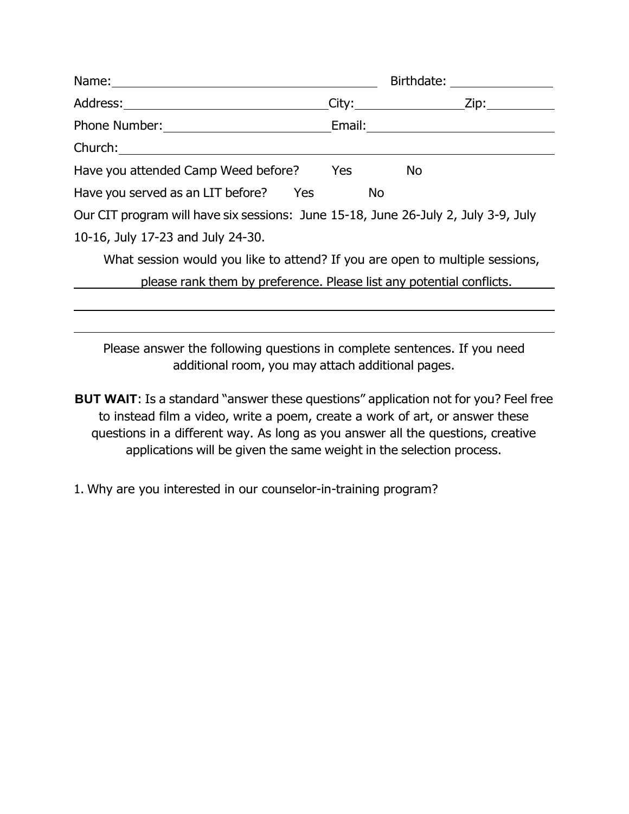|                                                                                                                                                                                                                                |           | Birthdate: <u>_______________</u> |
|--------------------------------------------------------------------------------------------------------------------------------------------------------------------------------------------------------------------------------|-----------|-----------------------------------|
|                                                                                                                                                                                                                                |           |                                   |
|                                                                                                                                                                                                                                |           |                                   |
| Church: the contract of the contract of the contract of the contract of the contract of the contract of the contract of the contract of the contract of the contract of the contract of the contract of the contract of the co |           |                                   |
| Have you attended Camp Weed before? Yes                                                                                                                                                                                        |           | <b>No</b>                         |
| Have you served as an LIT before? Yes                                                                                                                                                                                          | <b>No</b> |                                   |
| Our CIT program will have six sessions: June 15-18, June 26-July 2, July 3-9, July                                                                                                                                             |           |                                   |
| 10-16, July 17-23 and July 24-30.                                                                                                                                                                                              |           |                                   |
| What session would you like to attend? If you are open to multiple sessions,                                                                                                                                                   |           |                                   |
| please rank them by preference. Please list any potential conflicts.                                                                                                                                                           |           |                                   |
|                                                                                                                                                                                                                                |           |                                   |

Please answer the following questions in complete sentences. If you need additional room, you may attach additional pages.

- **BUT WAIT**: Is a standard "answer these questions" application not for you? Feel free to instead film a video, write a poem, create a work of art, or answer these questions in a different way. As long as you answer all the questions, creative applications will be given the same weight in the selection process.
- 1. Why are you interested in our counselor-in-training program?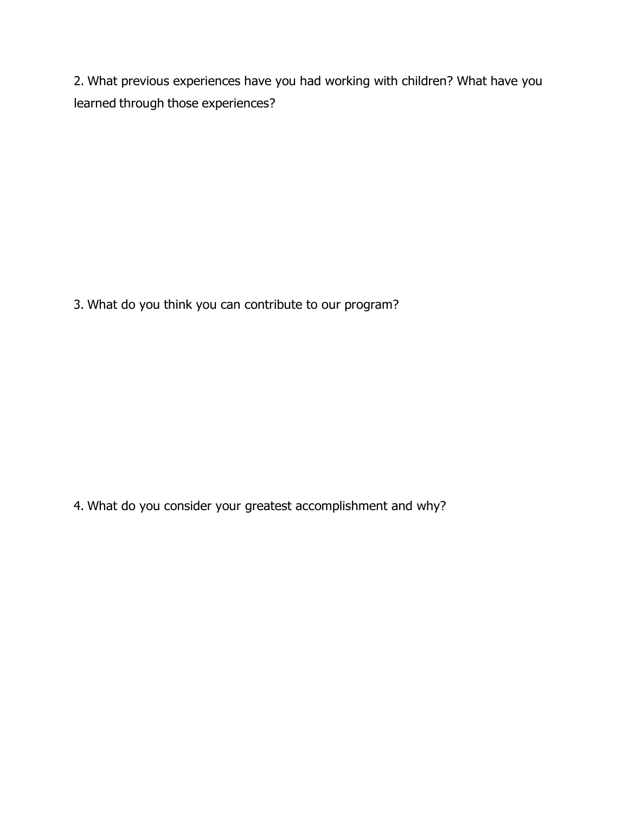2. What previous experiences have you had working with children? What have you learned through those experiences?

3. What do you think you can contribute to our program?

4. What do you consider your greatest accomplishment and why?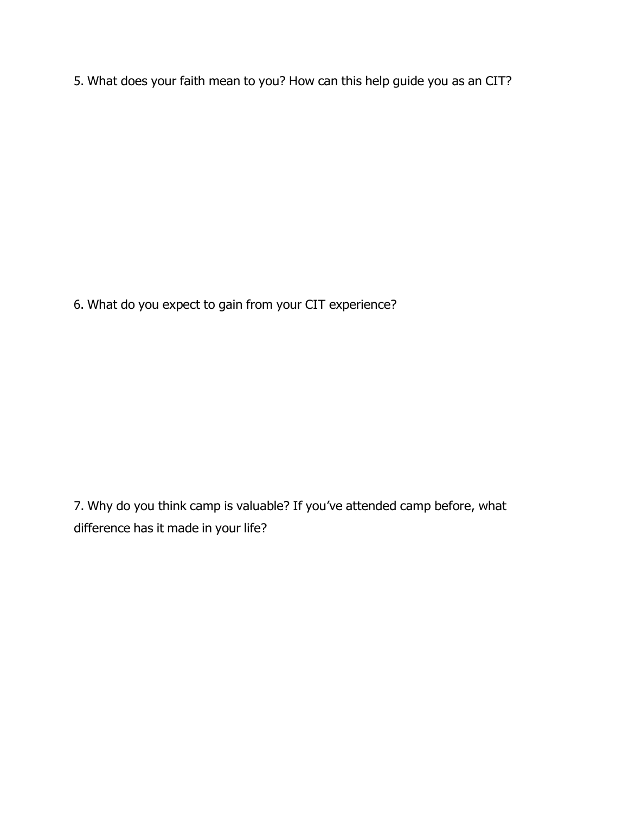5. What does your faith mean to you? How can this help guide you as an CIT?

6. What do you expect to gain from your CIT experience?

7. Why do you think camp is valuable? If you've attended camp before, what difference has it made in your life?